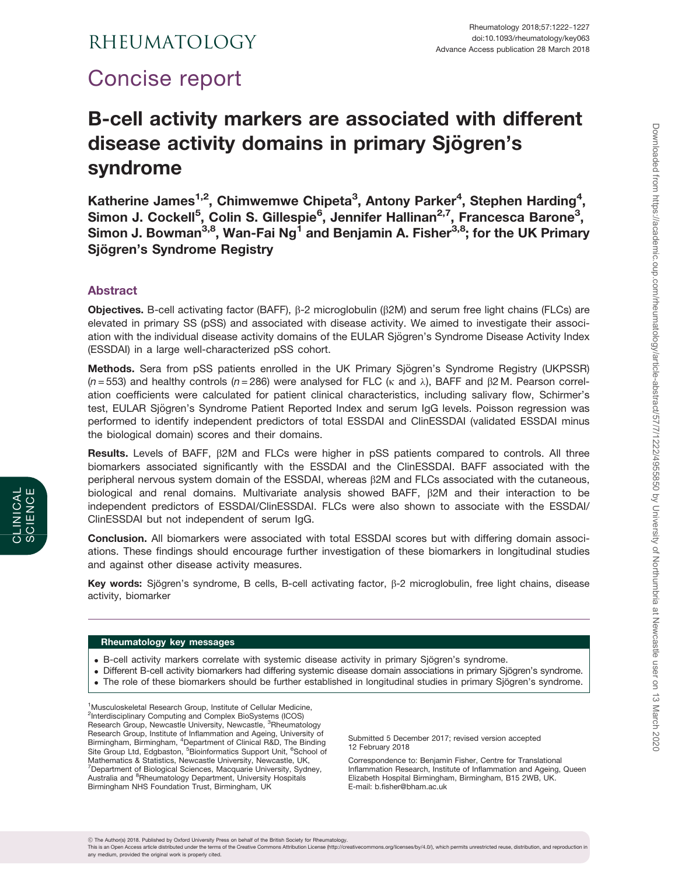# RHEUMATOLOGY

# Concise report

# B-cell activity markers are associated with different disease activity domains in primary Sjögren's syndrome

Katherine James<sup>1,2</sup>, Chimwemwe Chipeta<sup>3</sup>, Antony Parker<sup>4</sup>, Stephen Harding<sup>4</sup>, Simon J. Cockell<sup>5</sup>, Colin S. Gillespie<sup>6</sup>, Jennifer Hallinan<sup>2,7</sup>, Francesca Barone<sup>3</sup>, Simon J. Bowman<sup>3,8</sup>, Wan-Fai Ng<sup>1</sup> and Benjamin A. Fisher<sup>3,8</sup>; for the UK Primary Sjögren's Syndrome Registry

## Abstract

Objectives. B-cell activating factor (BAFF),  $\beta$ -2 microglobulin ( $\beta$ 2M) and serum free light chains (FLCs) are elevated in primary SS (pSS) and associated with disease activity. We aimed to investigate their association with the individual disease activity domains of the EULAR Sjögren's Syndrome Disease Activity Index (ESSDAI) in a large well-characterized pSS cohort.

Methods. Sera from pSS patients enrolled in the UK Primary Sjögren's Syndrome Registry (UKPSSR) (n = 553) and healthy controls (n = 286) were analysed for FLC ( $\kappa$  and  $\lambda$ ), BAFF and  $\beta$ 2 M. Pearson correlation coefficients were calculated for patient clinical characteristics, including salivary flow, Schirmer's test, EULAR Sjögren's Syndrome Patient Reported Index and serum IgG levels. Poisson regression was performed to identify independent predictors of total ESSDAI and ClinESSDAI (validated ESSDAI minus the biological domain) scores and their domains.

Results. Levels of BAFF, b2M and FLCs were higher in pSS patients compared to controls. All three biomarkers associated significantly with the ESSDAI and the ClinESSDAI. BAFF associated with the peripheral nervous system domain of the ESSDAI, whereas  $\beta$ 2M and FLCs associated with the cutaneous, biological and renal domains. Multivariate analysis showed BAFF, b2M and their interaction to be independent predictors of ESSDAI/ClinESSDAI. FLCs were also shown to associate with the ESSDAI/ ClinESSDAI but not independent of serum IgG.

Conclusion. All biomarkers were associated with total ESSDAI scores but with differing domain associations. These findings should encourage further investigation of these biomarkers in longitudinal studies and against other disease activity measures.

Key words: Sjögren's syndrome, B cells, B-cell activating factor, β-2 microglobulin, free light chains, disease activity, biomarker

### Rheumatology key messages

- . B-cell activity markers correlate with systemic disease activity in primary Sjögren's syndrome.
- . Different B-cell activity biomarkers had differing systemic disease domain associations in primary Sjögren's syndrome.
- . The role of these biomarkers should be further established in longitudinal studies in primary Sjögren's syndrome.

<sup>1</sup>Musculoskeletal Research Group, Institute of Cellular Medicine, <sup>2</sup>Interdisciplinary Computing and Complex BioSystems (ICOS) Research Group, Newcastle University, Newcastle, <sup>3</sup>Rheumatology Research Group, Institute of Inflammation and Ageing, University of Birmingham, Birmingham, <sup>4</sup> Department of Clinical R&D, The Binding Site Group Ltd, Edgbaston, <sup>5</sup>Bioinformatics Support Unit, <sup>6</sup>School of Mathematics & Statistics, Newcastle University, Newcastle, UK, <sup>7</sup>Department of Biological Sciences, Macquarie University, Sydney, Australia and <sup>8</sup>Rheumatology Department, University Hospitals Birmingham NHS Foundation Trust, Birmingham, UK

Submitted 5 December 2017; revised version accepted 12 February 2018

Correspondence to: Benjamin Fisher, Centre for Translational Inflammation Research, Institute of Inflammation and Ageing, Queen Elizabeth Hospital Birmingham, Birmingham, B15 2WB, UK. E-mail: b.fisher@bham.ac.uk

CLINICAL SCIENCE

SCIENCE CLINICAL

Ithor(s) 2018. Published by Oxford University Press on behalf of the British Society for Rheumatology This is an Open Access article distributed under the terms of the Creative Commons Attribution License ([http://creativecommons.org/licenses/by/4.0/\)](http://�creativecommons.�org/�licenses/�by/�4.�0/�), which permits unrestricted reuse, distribution, and reproduction in

any medium, provided the original work is properly cited.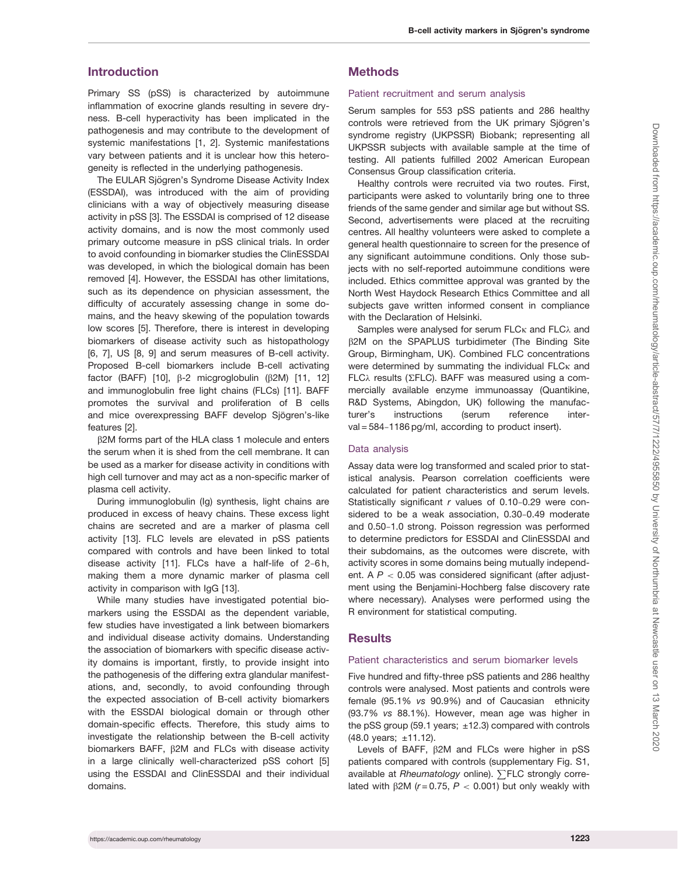### Introduction

Primary SS (pSS) is characterized by autoimmune inflammation of exocrine glands resulting in severe dryness. B-cell hyperactivity has been implicated in the pathogenesis and may contribute to the development of systemic manifestations [[1](#page-5-0), [2\]](#page-5-0). Systemic manifestations vary between patients and it is unclear how this heterogeneity is reflected in the underlying pathogenesis.

The EULAR Sjögren's Syndrome Disease Activity Index (ESSDAI), was introduced with the aim of providing clinicians with a way of objectively measuring disease activity in pSS [\[3\]](#page-5-0). The ESSDAI is comprised of 12 disease activity domains, and is now the most commonly used primary outcome measure in pSS clinical trials. In order to avoid confounding in biomarker studies the ClinESSDAI was developed, in which the biological domain has been removed [\[4\]](#page-5-0). However, the ESSDAI has other limitations, such as its dependence on physician assessment, the difficulty of accurately assessing change in some domains, and the heavy skewing of the population towards low scores [\[5\]](#page-5-0). Therefore, there is interest in developing biomarkers of disease activity such as histopathology [[6](#page-5-0), [7](#page-5-0)], US [\[8, 9\]](#page-5-0) and serum measures of B-cell activity. Proposed B-cell biomarkers include B-cell activating factor (BAFF) [\[10\]](#page-5-0),  $\beta$ -2 micgroglobulin ( $\beta$ 2M) [[11](#page-5-0), [12](#page-5-0)] and immunoglobulin free light chains (FLCs) [[11](#page-5-0)]. BAFF promotes the survival and proliferation of B cells and mice overexpressing BAFF develop Sjögren's-like features [\[2\]](#page-5-0).

b2M forms part of the HLA class 1 molecule and enters the serum when it is shed from the cell membrane. It can be used as a marker for disease activity in conditions with high cell turnover and may act as a non-specific marker of plasma cell activity.

During immunoglobulin (Ig) synthesis, light chains are produced in excess of heavy chains. These excess light chains are secreted and are a marker of plasma cell activity [\[13\]](#page-5-0). FLC levels are elevated in pSS patients compared with controls and have been linked to total disease activity [\[11](#page-5-0)]. FLCs have a half-life of 2-6 h, making them a more dynamic marker of plasma cell activity in comparison with IgG [[13](#page-5-0)].

While many studies have investigated potential biomarkers using the ESSDAI as the dependent variable, few studies have investigated a link between biomarkers and individual disease activity domains. Understanding the association of biomarkers with specific disease activity domains is important, firstly, to provide insight into the pathogenesis of the differing extra glandular manifestations, and, secondly, to avoid confounding through the expected association of B-cell activity biomarkers with the ESSDAI biological domain or through other domain-specific effects. Therefore, this study aims to investigate the relationship between the B-cell activity biomarkers BAFF, b2M and FLCs with disease activity in a large clinically well-characterized pSS cohort [[5](#page-5-0)] using the ESSDAI and ClinESSDAI and their individual domains.

## **Methods**

#### Patient recruitment and serum analysis

Serum samples for 553 pSS patients and 286 healthy controls were retrieved from the UK primary Sjögren's syndrome registry (UKPSSR) Biobank; representing all UKPSSR subjects with available sample at the time of testing. All patients fulfilled 2002 American European Consensus Group classification criteria.

Healthy controls were recruited via two routes. First, participants were asked to voluntarily bring one to three friends of the same gender and similar age but without SS. Second, advertisements were placed at the recruiting centres. All healthy volunteers were asked to complete a general health questionnaire to screen for the presence of any significant autoimmune conditions. Only those subjects with no self-reported autoimmune conditions were included. Ethics committee approval was granted by the North West Haydock Research Ethics Committee and all subjects gave written informed consent in compliance with the Declaration of Helsinki.

Samples were analysed for serum FLC $\kappa$  and FLC $\lambda$  and B2M on the SPAPLUS turbidimeter (The Binding Site Group, Birmingham, UK). Combined FLC concentrations were determined by summating the individual  $FLC_{K}$  and  $FLC\lambda$  results ( $\Sigma FLC$ ). BAFF was measured using a commercially available enzyme immunoassay (Quantikine, R&D Systems, Abingdon, UK) following the manufacturer's instructions (serum reference interval = 584-1186 pg/ml, according to product insert).

#### Data analysis

Assay data were log transformed and scaled prior to statistical analysis. Pearson correlation coefficients were calculated for patient characteristics and serum levels. Statistically significant r values of 0.10-0.29 were considered to be a weak association, 0.30-0.49 moderate and 0.50-1.0 strong. Poisson regression was performed to determine predictors for ESSDAI and ClinESSDAI and their subdomains, as the outcomes were discrete, with activity scores in some domains being mutually independent. A  $P < 0.05$  was considered significant (after adjustment using the Benjamini-Hochberg false discovery rate where necessary). Analyses were performed using the R environment for statistical computing.

## **Results**

#### Patient characteristics and serum biomarker levels

Five hundred and fifty-three pSS patients and 286 healthy controls were analysed. Most patients and controls were female (95.1% vs 90.9%) and of Caucasian ethnicity (93.7% vs 88.1%). However, mean age was higher in the pSS group (59.1 years;  $\pm$ 12.3) compared with controls (48.0 years; ±11.12).

Levels of BAFF,  $\beta$ 2M and FLCs were higher in pSS patients compared with controls [\(supplementary Fig. S1,](https://academic.oup.com/rheumatology/article-lookup/doi/10.1093/rheumatology/key063#supplementary-data) available at Rheumatology online).  $\Sigma$ FLC strongly correlated with  $\beta$ 2M (r = 0.75, P < 0.001) but only weakly with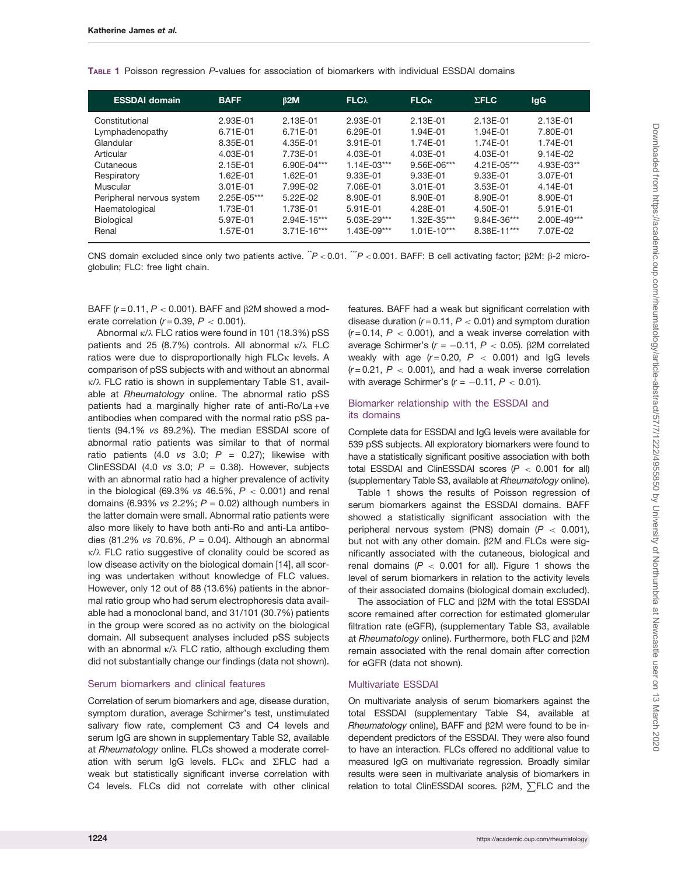TABLE 1 Poisson regression P-values for association of biomarkers with individual ESSDAI domains

| <b>ESSDAI</b> domain      | <b>BAFF</b> | $\beta$ 2M      | FLC <sub>λ</sub> | FLC <sub>K</sub> | $\Sigma$ FLC | <b>IgG</b>      |
|---------------------------|-------------|-----------------|------------------|------------------|--------------|-----------------|
| Constitutional            | 2.93E-01    | 2.13E-01        | 2.93E-01         | 2.13E-01         | 2.13E-01     | 2.13E-01        |
| Lymphadenopathy           | 6.71E-01    | 6.71E-01        | 6.29E-01         | 1.94E-01         | 1.94E-01     | 7.80E-01        |
| Glandular                 | 8.35E-01    | 4.35E-01        | 3.91E-01         | 1.74E-01         | 1.74E-01     | 1.74E-01        |
| Articular                 | 4.03E-01    | 7.73E-01        | 4.03E-01         | 4.03E-01         | 4.03E-01     | 9.14E-02        |
| Cutaneous                 | 2.15E-01    | $6.90E - 04***$ | $1.14E-03***$    | $9.56E-06***$    | 4.21E-05***  | $4.93E - 03**$  |
| Respiratory               | 1.62E-01    | 1.62E-01        | 9.33E-01         | 9.33E-01         | 9.33E-01     | 3.07E-01        |
| Muscular                  | 3.01E-01    | 7.99E-02        | 7.06E-01         | 3.01E-01         | 3.53E-01     | 4.14E-01        |
| Peripheral nervous system | 2.25E-05*** | 5.22E-02        | 8.90E-01         | 8.90E-01         | 8.90E-01     | 8.90E-01        |
| Haematological            | 1.73E-01    | 1.73E-01        | 5.91E-01         | 4.28E-01         | 4.50E-01     | 5.91E-01        |
| <b>Biological</b>         | 5.97E-01    | 2.94E-15***     | $5.03E - 29***$  | 1.32E-35***      | 9.84E-36***  | $2.00E - 49***$ |
| Renal                     | 1.57E-01    | $3.71E - 16***$ | 1.43E-09***      | $1.01E - 10***$  | 8.38E-11***  | 7.07E-02        |

CNS domain excluded since only two patients active.  $\ddot{P} < 0.01$ . " $P < 0.001$ . BAFF: B cell activating factor;  $\beta$ 2M:  $\beta$ -2 microglobulin; FLC: free light chain.

BAFF ( $r = 0.11$ ,  $P < 0.001$ ). BAFF and  $\beta$ 2M showed a moderate correlation ( $r = 0.39$ ,  $P < 0.001$ ).

Abnormal κ/λ FLC ratios were found in 101 (18.3%) pSS patients and 25 (8.7%) controls. All abnormal  $\kappa/\lambda$  FLC ratios were due to disproportionally high  $FLCK$  levels. A comparison of pSS subjects with and without an abnormal κ/λ FLC ratio is shown in [supplementary Table S1,](https://academic.oup.com/rheumatology/article-lookup/doi/10.1093/rheumatology/key063#supplementary-data) available at Rheumatology online. The abnormal ratio pSS patients had a marginally higher rate of anti-Ro/La +ve antibodies when compared with the normal ratio pSS patients (94.1% vs 89.2%). The median ESSDAI score of abnormal ratio patients was similar to that of normal ratio patients (4.0 vs 3.0;  $P = 0.27$ ); likewise with ClinESSDAI (4.0 vs 3.0;  $P = 0.38$ ). However, subjects with an abnormal ratio had a higher prevalence of activity in the biological (69.3% vs 46.5%,  $P < 0.001$ ) and renal domains (6.93% vs 2.2%;  $P = 0.02$ ) although numbers in the latter domain were small. Abnormal ratio patients were also more likely to have both anti-Ro and anti-La antibodies (81.2% vs 70.6%,  $P = 0.04$ ). Although an abnormal  $\kappa/\lambda$  FLC ratio suggestive of clonality could be scored as low disease activity on the biological domain [\[14\]](#page-5-0), all scoring was undertaken without knowledge of FLC values. However, only 12 out of 88 (13.6%) patients in the abnormal ratio group who had serum electrophoresis data available had a monoclonal band, and 31/101 (30.7%) patients in the group were scored as no activity on the biological domain. All subsequent analyses included pSS subjects with an abnormal  $\kappa/\lambda$  FLC ratio, although excluding them did not substantially change our findings (data not shown).

#### Serum biomarkers and clinical features

Correlation of serum biomarkers and age, disease duration, symptom duration, average Schirmer's test, unstimulated salivary flow rate, complement C3 and C4 levels and serum IgG are shown in [supplementary Table S2,](https://academic.oup.com/rheumatology/article-lookup/doi/10.1093/rheumatology/key063#supplementary-data) available at Rheumatology online. FLCs showed a moderate correlation with serum IgG levels. FLC $\kappa$  and  $\Sigma$ FLC had a weak but statistically significant inverse correlation with C4 levels. FLCs did not correlate with other clinical

features. BAFF had a weak but significant correlation with disease duration ( $r = 0.11$ ,  $P < 0.01$ ) and symptom duration  $(r=0.14, P < 0.001)$ , and a weak inverse correlation with average Schirmer's ( $r = -0.11$ ,  $P < 0.05$ ).  $\beta$ 2M correlated weakly with age  $(r=0.20, P < 0.001)$  and IgG levels  $(r=0.21, P < 0.001)$ , and had a weak inverse correlation with average Schirmer's  $(r = -0.11, P < 0.01)$ .

### Biomarker relationship with the ESSDAI and its domains

Complete data for ESSDAI and IgG levels were available for 539 pSS subjects. All exploratory biomarkers were found to have a statistically significant positive association with both total ESSDAI and ClinESSDAI scores  $(P < 0.001$  for all) ([supplementary Table S3](https://academic.oup.com/rheumatology/article-lookup/doi/10.1093/rheumatology/key063#supplementary-data), available at Rheumatology online).

Table 1 shows the results of Poisson regression of serum biomarkers against the ESSDAI domains. BAFF showed a statistically significant association with the peripheral nervous system (PNS) domain ( $P < 0.001$ ), but not with any other domain.  $\beta$ 2M and FLCs were significantly associated with the cutaneous, biological and renal domains ( $P < 0.001$  for all). [Figure 1](#page-3-0) shows the level of serum biomarkers in relation to the activity levels of their associated domains (biological domain excluded).

The association of FLC and  $\beta$ 2M with the total ESSDAI score remained after correction for estimated glomerular filtration rate (eGFR), [\(supplementary Table S3](https://academic.oup.com/rheumatology/article-lookup/doi/10.1093/rheumatology/key063#supplementary-data), available at Rheumatology online). Furthermore, both FLC and  $\beta$ 2M remain associated with the renal domain after correction for eGFR (data not shown).

#### Multivariate ESSDAI

On multivariate analysis of serum biomarkers against the total ESSDAI ([supplementary Table S4](https://academic.oup.com/rheumatology/article-lookup/doi/10.1093/rheumatology/key063#supplementary-data), available at Rheumatology online), BAFF and  $\beta$ 2M were found to be independent predictors of the ESSDAI. They were also found to have an interaction. FLCs offered no additional value to measured IgG on multivariate regression. Broadly similar results were seen in multivariate analysis of biomarkers in relation to total ClinESSDAI scores.  $\beta$ 2M,  $\sum$ FLC and the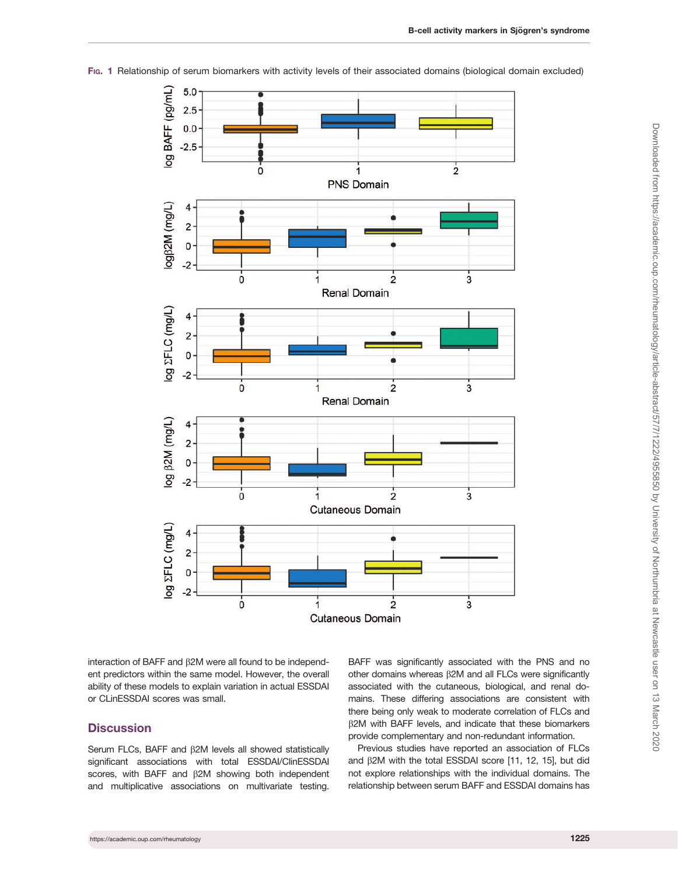

<span id="page-3-0"></span>FIG. 1 Relationship of serum biomarkers with activity levels of their associated domains (biological domain excluded)

interaction of BAFF and  $\beta$ 2M were all found to be independent predictors within the same model. However, the overall ability of these models to explain variation in actual ESSDAI or CLinESSDAI scores was small.

## **Discussion**

Serum FLCs, BAFF and  $\beta$ 2M levels all showed statistically significant associations with total ESSDAI/ClinESSDAI scores, with BAFF and  $\beta$ 2M showing both independent and multiplicative associations on multivariate testing.

BAFF was significantly associated with the PNS and no other domains whereas  $\beta$ 2M and all FLCs were significantly associated with the cutaneous, biological, and renal domains. These differing associations are consistent with there being only weak to moderate correlation of FLCs and  $\beta$ 2M with BAFF levels, and indicate that these biomarkers provide complementary and non-redundant information.

Previous studies have reported an association of FLCs and  $\beta$ 2M with the total ESSDAI score [[11, 12](#page-5-0), [15\]](#page-5-0), but did not explore relationships with the individual domains. The relationship between serum BAFF and ESSDAI domains has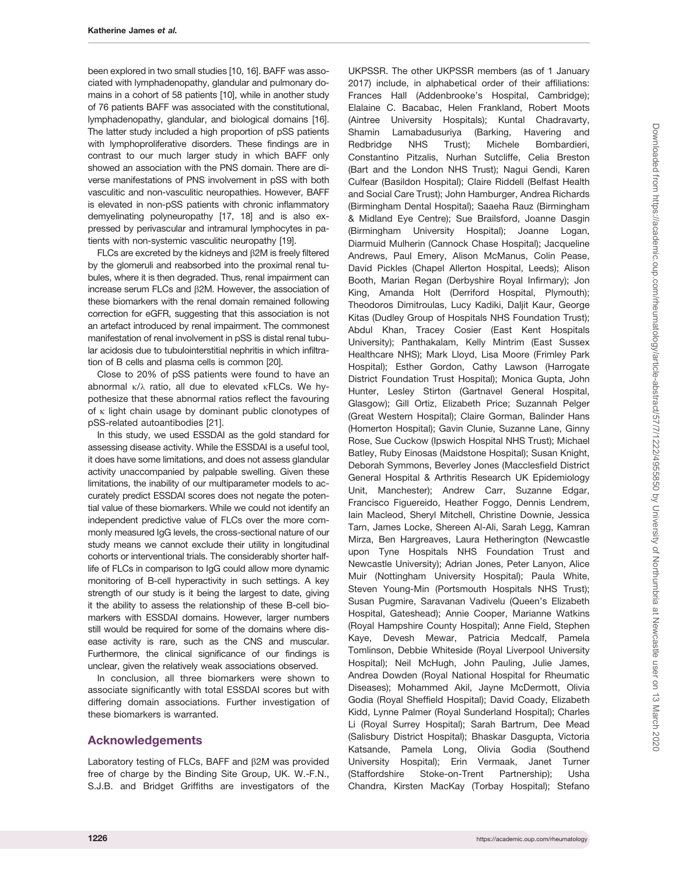been explored in two small studies [\[10](#page-5-0), [16](#page-5-0)]. BAFF was associated with lymphadenopathy, glandular and pulmonary domains in a cohort of 58 patients [\[10\]](#page-5-0), while in another study of 76 patients BAFF was associated with the constitutional, lymphadenopathy, glandular, and biological domains [\[16](#page-5-0)]. The latter study included a high proportion of pSS patients with lymphoproliferative disorders. These findings are in contrast to our much larger study in which BAFF only showed an association with the PNS domain. There are diverse manifestations of PNS involvement in pSS with both vasculitic and non-vasculitic neuropathies. However, BAFF is elevated in non-pSS patients with chronic inflammatory demyelinating polyneuropathy [\[17](#page-5-0), [18](#page-5-0)] and is also expressed by perivascular and intramural lymphocytes in patients with non-systemic vasculitic neuropathy [\[19\]](#page-5-0).

FLCs are excreted by the kidneys and  $\beta$ 2M is freely filtered by the glomeruli and reabsorbed into the proximal renal tubules, where it is then degraded. Thus, renal impairment can increase serum FLCs and  $\beta$ 2M. However, the association of these biomarkers with the renal domain remained following correction for eGFR, suggesting that this association is not an artefact introduced by renal impairment. The commonest manifestation of renal involvement in pSS is distal renal tubular acidosis due to tubulointerstitial nephritis in which infiltration of B cells and plasma cells is common [[20\]](#page-5-0).

Close to 20% of pSS patients were found to have an abnormal  $\kappa/\lambda$  ratio, all due to elevated  $\kappa$ FLCs. We hypothesize that these abnormal ratios reflect the favouring of  $\kappa$  light chain usage by dominant public clonotypes of pSS-related autoantibodies [[21](#page-5-0)].

In this study, we used ESSDAI as the gold standard for assessing disease activity. While the ESSDAI is a useful tool, it does have some limitations, and does not assess glandular activity unaccompanied by palpable swelling. Given these limitations, the inability of our multiparameter models to accurately predict ESSDAI scores does not negate the potential value of these biomarkers. While we could not identify an independent predictive value of FLCs over the more commonly measured IgG levels, the cross-sectional nature of our study means we cannot exclude their utility in longitudinal cohorts or interventional trials. The considerably shorter halflife of FLCs in comparison to IgG could allow more dynamic monitoring of B-cell hyperactivity in such settings. A key strength of our study is it being the largest to date, giving it the ability to assess the relationship of these B-cell biomarkers with ESSDAI domains. However, larger numbers still would be required for some of the domains where disease activity is rare, such as the CNS and muscular. Furthermore, the clinical significance of our findings is unclear, given the relatively weak associations observed.

In conclusion, all three biomarkers were shown to associate significantly with total ESSDAI scores but with differing domain associations. Further investigation of these biomarkers is warranted.

## Acknowledgements

Laboratory testing of FLCs, BAFF and  $\beta$ 2M was provided free of charge by the Binding Site Group, UK. W.-F.N., S.J.B. and Bridget Griffiths are investigators of the UKPSSR. The other UKPSSR members (as of 1 January 2017) include, in alphabetical order of their affiliations: Frances Hall (Addenbrooke's Hospital, Cambridge); Elalaine C. Bacabac, Helen Frankland, Robert Moots (Aintree University Hospitals); Kuntal Chadravarty, Shamin Lamabadusuriya (Barking, Havering and Redbridge NHS Trust); Michele Bombardieri, Constantino Pitzalis, Nurhan Sutcliffe, Celia Breston (Bart and the London NHS Trust); Nagui Gendi, Karen Culfear (Basildon Hospital); Claire Riddell (Belfast Health and Social Care Trust); John Hamburger, Andrea Richards (Birmingham Dental Hospital); Saaeha Rauz (Birmingham & Midland Eye Centre); Sue Brailsford, Joanne Dasgin (Birmingham University Hospital); Joanne Logan, Diarmuid Mulherin (Cannock Chase Hospital); Jacqueline Andrews, Paul Emery, Alison McManus, Colin Pease, David Pickles (Chapel Allerton Hospital, Leeds); Alison Booth, Marian Regan (Derbyshire Royal Infirmary); Jon King, Amanda Holt (Derriford Hospital, Plymouth); Theodoros Dimitroulas, Lucy Kadiki, Daljit Kaur, George Kitas (Dudley Group of Hospitals NHS Foundation Trust); Abdul Khan, Tracey Cosier (East Kent Hospitals University); Panthakalam, Kelly Mintrim (East Sussex Healthcare NHS); Mark Lloyd, Lisa Moore (Frimley Park Hospital); Esther Gordon, Cathy Lawson (Harrogate District Foundation Trust Hospital); Monica Gupta, John Hunter, Lesley Stirton (Gartnavel General Hospital, Glasgow); Gill Ortiz, Elizabeth Price; Suzannah Pelger (Great Western Hospital); Claire Gorman, Balinder Hans (Homerton Hospital); Gavin Clunie, Suzanne Lane, Ginny Rose, Sue Cuckow (Ipswich Hospital NHS Trust); Michael Batley, Ruby Einosas (Maidstone Hospital); Susan Knight, Deborah Symmons, Beverley Jones (Macclesfield District General Hospital & Arthritis Research UK Epidemiology Unit, Manchester); Andrew Carr, Suzanne Edgar, Francisco Figuereido, Heather Foggo, Dennis Lendrem, Iain Macleod, Sheryl Mitchell, Christine Downie, Jessica Tarn, James Locke, Shereen Al-Ali, Sarah Legg, Kamran Mirza, Ben Hargreaves, Laura Hetherington (Newcastle upon Tyne Hospitals NHS Foundation Trust and Newcastle University); Adrian Jones, Peter Lanyon, Alice Muir (Nottingham University Hospital); Paula White, Steven Young-Min (Portsmouth Hospitals NHS Trust); Susan Pugmire, Saravanan Vadivelu (Queen's Elizabeth Hospital, Gateshead); Annie Cooper, Marianne Watkins (Royal Hampshire County Hospital); Anne Field, Stephen Kaye, Devesh Mewar, Patricia Medcalf, Pamela Tomlinson, Debbie Whiteside (Royal Liverpool University Hospital); Neil McHugh, John Pauling, Julie James, Andrea Dowden (Royal National Hospital for Rheumatic Diseases); Mohammed Akil, Jayne McDermott, Olivia Godia (Royal Sheffield Hospital); David Coady, Elizabeth Kidd, Lynne Palmer (Royal Sunderland Hospital); Charles Li (Royal Surrey Hospital); Sarah Bartrum, Dee Mead (Salisbury District Hospital); Bhaskar Dasgupta, Victoria Katsande, Pamela Long, Olivia Godia (Southend University Hospital); Erin Vermaak, Janet Turner (Staffordshire Stoke-on-Trent Partnership); Usha Chandra, Kirsten MacKay (Torbay Hospital); Stefano